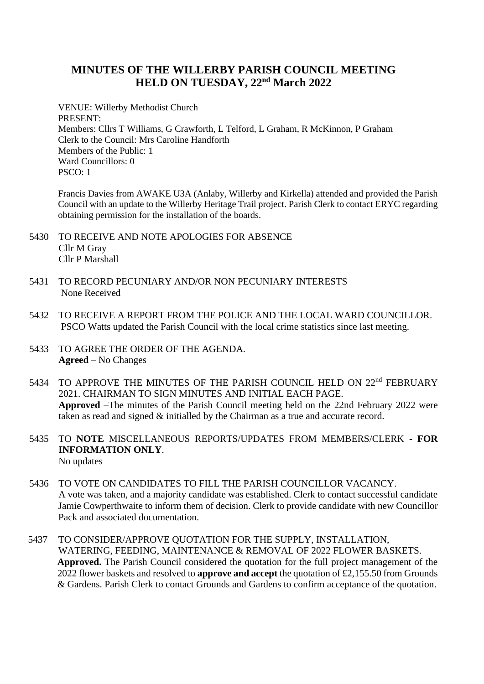## **MINUTES OF THE WILLERBY PARISH COUNCIL MEETING HELD ON TUESDAY, 22nd March 2022**

VENUE: Willerby Methodist Church PRESENT: Members: Cllrs T Williams, G Crawforth, L Telford, L Graham, R McKinnon, P Graham Clerk to the Council: Mrs Caroline Handforth Members of the Public: 1 Ward Councillors: 0 PSCO: 1

Francis Davies from AWAKE U3A (Anlaby, Willerby and Kirkella) attended and provided the Parish Council with an update to the Willerby Heritage Trail project. Parish Clerk to contact ERYC regarding obtaining permission for the installation of the boards.

- 5430 TO RECEIVE AND NOTE APOLOGIES FOR ABSENCE Cllr M Gray Cllr P Marshall
- 5431 TO RECORD PECUNIARY AND/OR NON PECUNIARY INTERESTS None Received
- 5432 TO RECEIVE A REPORT FROM THE POLICE AND THE LOCAL WARD COUNCILLOR. PSCO Watts updated the Parish Council with the local crime statistics since last meeting.
- 5433 TO AGREE THE ORDER OF THE AGENDA. **Agreed** – No Changes
- 5434 TO APPROVE THE MINUTES OF THE PARISH COUNCIL HELD ON 22<sup>nd</sup> FEBRUARY 2021. CHAIRMAN TO SIGN MINUTES AND INITIAL EACH PAGE. **Approved** –The minutes of the Parish Council meeting held on the 22nd February 2022 were taken as read and signed & initialled by the Chairman as a true and accurate record.
- 5435 TO **NOTE** MISCELLANEOUS REPORTS/UPDATES FROM MEMBERS/CLERK **- FOR INFORMATION ONLY**. No updates
- 5436 TO VOTE ON CANDIDATES TO FILL THE PARISH COUNCILLOR VACANCY. A vote was taken, and a majority candidate was established. Clerk to contact successful candidate Jamie Cowperthwaite to inform them of decision. Clerk to provide candidate with new Councillor Pack and associated documentation.
- 5437 TO CONSIDER/APPROVE QUOTATION FOR THE SUPPLY, INSTALLATION, WATERING, FEEDING, MAINTENANCE & REMOVAL OF 2022 FLOWER BASKETS. **Approved.** The Parish Council considered the quotation for the full project management of the 2022 flower baskets and resolved to **approve and accept** the quotation of £2,155.50 from Grounds & Gardens. Parish Clerk to contact Grounds and Gardens to confirm acceptance of the quotation.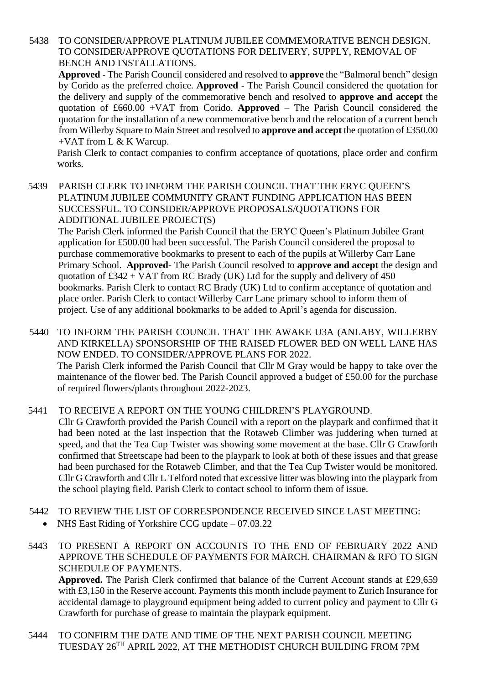5438 TO CONSIDER/APPROVE PLATINUM JUBILEE COMMEMORATIVE BENCH DESIGN. TO CONSIDER/APPROVE QUOTATIONS FOR DELIVERY, SUPPLY, REMOVAL OF BENCH AND INSTALLATIONS.

**Approved** - The Parish Council considered and resolved to **approve** the "Balmoral bench" design by Corido as the preferred choice. **Approved** - The Parish Council considered the quotation for the delivery and supply of the commemorative bench and resolved to **approve and accept** the quotation of £660.00 +VAT from Corido. **Approved** – The Parish Council considered the quotation for the installation of a new commemorative bench and the relocation of a current bench from Willerby Square to Main Street and resolved to **approve and accept** the quotation of £350.00 +VAT from L & K Warcup.

Parish Clerk to contact companies to confirm acceptance of quotations, place order and confirm works.

5439 PARISH CLERK TO INFORM THE PARISH COUNCIL THAT THE ERYC QUEEN'S PLATINUM JUBILEE COMMUNITY GRANT FUNDING APPLICATION HAS BEEN SUCCESSFUL. TO CONSIDER/APPROVE PROPOSALS/QUOTATIONS FOR ADDITIONAL JUBILEE PROJECT(S)

The Parish Clerk informed the Parish Council that the ERYC Queen's Platinum Jubilee Grant application for £500.00 had been successful. The Parish Council considered the proposal to purchase commemorative bookmarks to present to each of the pupils at Willerby Carr Lane Primary School. **Approved**- The Parish Council resolved to **approve and accept** the design and quotation of £342 + VAT from RC Brady (UK) Ltd for the supply and delivery of 450 bookmarks. Parish Clerk to contact RC Brady (UK) Ltd to confirm acceptance of quotation and place order. Parish Clerk to contact Willerby Carr Lane primary school to inform them of project. Use of any additional bookmarks to be added to April's agenda for discussion.

5440 TO INFORM THE PARISH COUNCIL THAT THE AWAKE U3A (ANLABY, WILLERBY AND KIRKELLA) SPONSORSHIP OF THE RAISED FLOWER BED ON WELL LANE HAS NOW ENDED. TO CONSIDER/APPROVE PLANS FOR 2022. The Parish Clerk informed the Parish Council that Cllr M Gray would be happy to take over the maintenance of the flower bed. The Parish Council approved a budget of £50.00 for the purchase of required flowers/plants throughout 2022-2023.

5441 TO RECEIVE A REPORT ON THE YOUNG CHILDREN'S PLAYGROUND.

Cllr G Crawforth provided the Parish Council with a report on the playpark and confirmed that it had been noted at the last inspection that the Rotaweb Climber was juddering when turned at speed, and that the Tea Cup Twister was showing some movement at the base. Cllr G Crawforth confirmed that Streetscape had been to the playpark to look at both of these issues and that grease had been purchased for the Rotaweb Climber, and that the Tea Cup Twister would be monitored. Cllr G Crawforth and Cllr L Telford noted that excessive litter was blowing into the playpark from the school playing field. Parish Clerk to contact school to inform them of issue.

- 5442 TO REVIEW THE LIST OF CORRESPONDENCE RECEIVED SINCE LAST MEETING:
	- NHS East Riding of Yorkshire CCG update 07.03.22

5443 TO PRESENT A REPORT ON ACCOUNTS TO THE END OF FEBRUARY 2022 AND APPROVE THE SCHEDULE OF PAYMENTS FOR MARCH. CHAIRMAN & RFO TO SIGN SCHEDULE OF PAYMENTS.

**Approved.** The Parish Clerk confirmed that balance of the Current Account stands at £29,659 with £3,150 in the Reserve account. Payments this month include payment to Zurich Insurance for accidental damage to playground equipment being added to current policy and payment to Cllr G Crawforth for purchase of grease to maintain the playpark equipment.

5444 TO CONFIRM THE DATE AND TIME OF THE NEXT PARISH COUNCIL MEETING TUESDAY 26TH APRIL 2022, AT THE METHODIST CHURCH BUILDING FROM 7PM